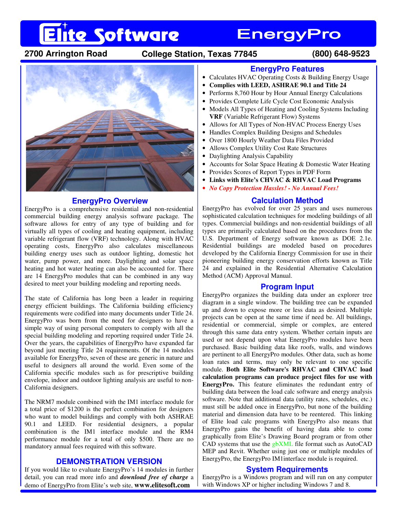# **Elite Software**

## **EnergyPro**

### **2700 Arrington Road College Station, Texas 77845 (800) 648-9523**



#### **EnergyPro Overview**

EnergyPro is a comprehensive residential and non-residential commercial building energy analysis software package. The software allows for entry of any type of building and for virtually all types of cooling and heating equipment, including variable refrigerant flow (VRF) technology. Along with HVAC operating costs, EnergyPro also calculates miscellaneous building energy uses such as outdoor lighting, domestic hot water, pump power, and more. Daylighting and solar space heating and hot water heating can also be accounted for. There are 14 EnergyPro modules that can be combined in any way desired to meet your building modeling and reporting needs.

The state of California has long been a leader in requiring energy efficient buildings. The California building efficiency requirements were codified into many documents under Title 24. EnergyPro was born from the need for designers to have a simple way of using personal computers to comply with all the special building modeling and reporting required under Title 24. Over the years, the capabilities of EnergyPro have expanded far beyond just meeting Title 24 requirements. Of the 14 modules available for EnergyPro, seven of these are generic in nature and useful to designers all around the world. Even some of the California specific modules such as for prescriptive building envelope, indoor and outdoor lighting analysis are useful to non-California designers.

The NRM7 module combined with the IM1 interface module for a total price of \$1200 is the perfect combination for designers who want to model buildings and comply with both ASHRAE 90.1 and LEED. For residential designers, a popular combination is the IM1 interface module and the RM4 performance module for a total of only \$500. There are no mandatory annual fees required with this software.

### **DEMONSTRATION VERSION**

If you would like to evaluate EnergyPro's 14 modules in further detail, you can read more info and *download free of charge* a demo of EnergyPro from Elite's web site, **www.elitesoft.com**

#### **EnergyPro Features**

- Calculates HVAC Operating Costs & Building Energy Usage
- **Complies with LEED, ASHRAE 90.1 and Title 24**
- Performs 8,760 Hour by Hour Annual Energy Calculations
- Provides Complete Life Cycle Cost Economic Analysis
- Models All Types of Heating and Cooling Systems Including **VRF** (Variable Refrigerant Flow) Systems
- Allows for All Types of Non-HVAC Process Energy Uses
- Handles Complex Building Designs and Schedules
- Over 1800 Hourly Weather Data Files Provided
- Allows Complex Utility Cost Rate Structures
- Daylighting Analysis Capability
- Accounts for Solar Space Heating & Domestic Water Heating
- Provides Scores of Report Types in PDF Form
- **Links with Elite's CHVAC & RHVAC Load Programs**
- *No Copy Protection Hassles! No Annual Fees!*

### **Calculation Method**

EnergyPro has evolved for over 25 years and uses numerous sophisticated calculation techniques for modeling buildings of all types. Commercial buildings and non-residential buildings of all types are primarily calculated based on the procedures from the U.S. Department of Energy software known as DOE 2.1e. Residential buildings are modeled based on procedures developed by the California Energy Commission for use in their pioneering building energy conservation efforts known as Title 24 and explained in the Residential Alternative Calculation Method (ACM) Approval Manual.

#### **Program Input**

EnergyPro organizes the building data under an explorer tree diagram in a single window. The building tree can be expanded up and down to expose more or less data as desired. Multiple projects can be open at the same time if need be. All buildings, residential or commercial, simple or complex, are entered through this same data entry system. Whether certain inputs are used or not depend upon what EnergyPro modules have been purchased. Basic building data like roofs, walls, and windows are pertinent to all EnergyPro modules. Other data, such as home loan rates and terms, may only be relevant to one specific module. **Both Elite Software's RHVAC and CHVAC load calculation programs can produce project files for use with EnergyPro.** This feature eliminates the redundant entry of building data between the load calc software and energy analysis software. Note that additional data (utility rates, schedules, etc.) must still be added once in EnergyPro, but none of the building material and dimension data have to be reentered. This linking of Elite load calc programs with EnergyPro also means that EnergyPro gains the benefit of having data able to come graphically from Elite's Drawing Board program or from other CAD systems that use the gbXML file format such as AutoCAD MEP and Revit. Whether using just one or multiple modules of EnergyPro, the EnergyPro IM1interface module is required.

#### **System Requirements**

EnergyPro is a Windows program and will run on any computer with Windows XP or higher including Windows 7 and 8.